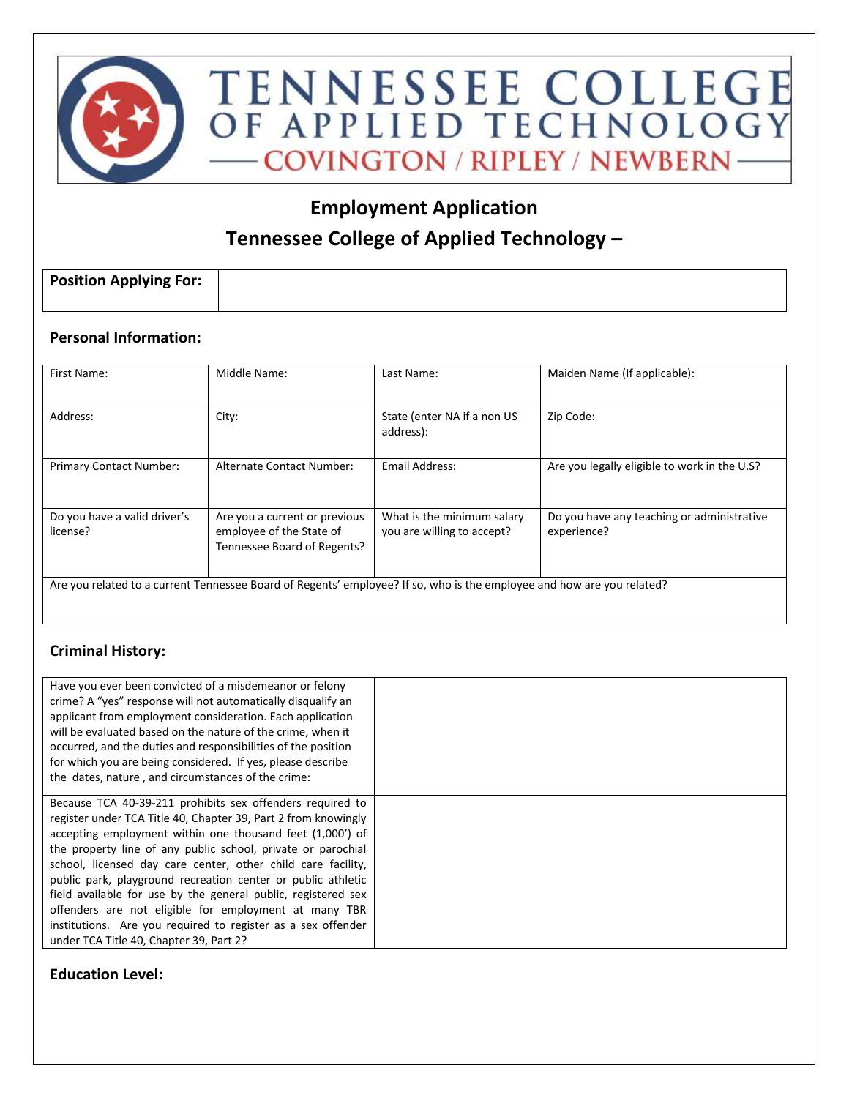

# **Employment Application Tennessee College of Applied Technology –**

| <b>Position Applying For:</b> |  |
|-------------------------------|--|
|                               |  |

### **Personal Information:**

| First Name:                              | Middle Name:                                                                                                           | Last Name:                                               | Maiden Name (If applicable):                              |
|------------------------------------------|------------------------------------------------------------------------------------------------------------------------|----------------------------------------------------------|-----------------------------------------------------------|
| Address:                                 | City:                                                                                                                  | State (enter NA if a non US<br>address):                 | Zip Code:                                                 |
| <b>Primary Contact Number:</b>           | Alternate Contact Number:                                                                                              | Email Address:                                           | Are you legally eligible to work in the U.S?              |
| Do you have a valid driver's<br>license? | Are you a current or previous<br>employee of the State of<br>Tennessee Board of Regents?                               | What is the minimum salary<br>you are willing to accept? | Do you have any teaching or administrative<br>experience? |
|                                          | Are you related to a current Tennessee Board of Regents' employee? If so, who is the employee and how are you related? |                                                          |                                                           |

### **Criminal History:**

| Have you ever been convicted of a misdemeanor or felony<br>crime? A "yes" response will not automatically disqualify an<br>applicant from employment consideration. Each application<br>will be evaluated based on the nature of the crime, when it<br>occurred, and the duties and responsibilities of the position<br>for which you are being considered. If yes, please describe<br>the dates, nature, and circumstances of the crime:                                                                                                                                                                                     |  |
|-------------------------------------------------------------------------------------------------------------------------------------------------------------------------------------------------------------------------------------------------------------------------------------------------------------------------------------------------------------------------------------------------------------------------------------------------------------------------------------------------------------------------------------------------------------------------------------------------------------------------------|--|
| Because TCA 40-39-211 prohibits sex offenders required to<br>register under TCA Title 40, Chapter 39, Part 2 from knowingly<br>accepting employment within one thousand feet (1,000') of<br>the property line of any public school, private or parochial<br>school, licensed day care center, other child care facility,<br>public park, playground recreation center or public athletic<br>field available for use by the general public, registered sex<br>offenders are not eligible for employment at many TBR<br>institutions. Are you required to register as a sex offender<br>under TCA Title 40, Chapter 39, Part 2? |  |

### **Education Level:**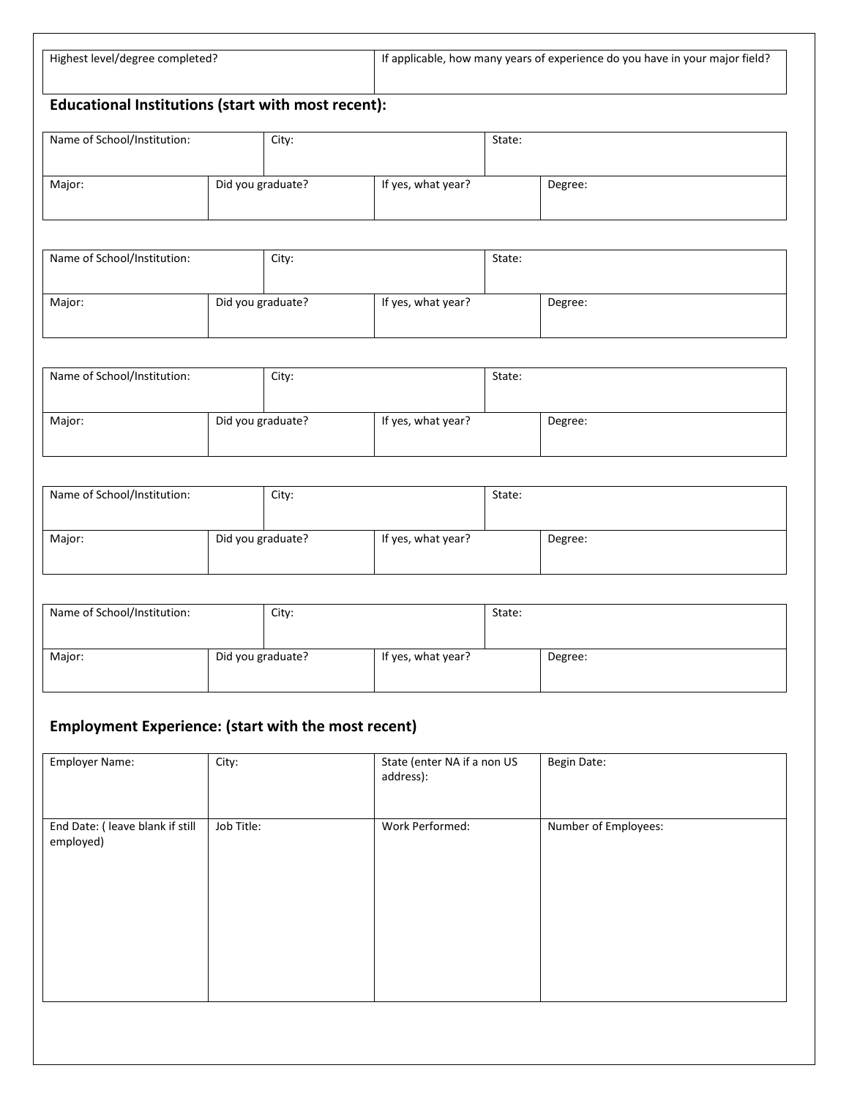| Highest level/degree completed?                                                       | If applicable, how many years of experience do you have in your major field? |  |  |  |
|---------------------------------------------------------------------------------------|------------------------------------------------------------------------------|--|--|--|
|                                                                                       |                                                                              |  |  |  |
|                                                                                       |                                                                              |  |  |  |
|                                                                                       |                                                                              |  |  |  |
| $\mathbf{F}$ decoder and the attribution of about certain property and $\mathbf{F}$ . |                                                                              |  |  |  |

### **Educational Institutions (start with most recent):**

| Name of School/Institution: | City:             |                    | State: |         |
|-----------------------------|-------------------|--------------------|--------|---------|
| Major:                      | Did you graduate? | If yes, what year? |        | Degree: |

| Name of School/Institution: | City:             |                    | State: |         |
|-----------------------------|-------------------|--------------------|--------|---------|
| Major:                      | Did you graduate? | If yes, what year? |        | Degree: |

| Name of School/Institution: | City:             |                    | State: |         |
|-----------------------------|-------------------|--------------------|--------|---------|
| Major:                      | Did you graduate? | If yes, what year? |        | Degree: |

| Name of School/Institution: | City:             |                    | State: |         |
|-----------------------------|-------------------|--------------------|--------|---------|
| Major:                      | Did you graduate? | If yes, what year? |        | Degree: |

| Name of School/Institution: | City:             |                    | State: |         |
|-----------------------------|-------------------|--------------------|--------|---------|
| Major:                      | Did you graduate? | If yes, what year? |        | Degree: |

# **Employment Experience: (start with the most recent)**

| <b>Employer Name:</b>                         | City:      | State (enter NA if a non US<br>address): | <b>Begin Date:</b>   |
|-----------------------------------------------|------------|------------------------------------------|----------------------|
| End Date: ( leave blank if still<br>employed) | Job Title: | Work Performed:                          | Number of Employees: |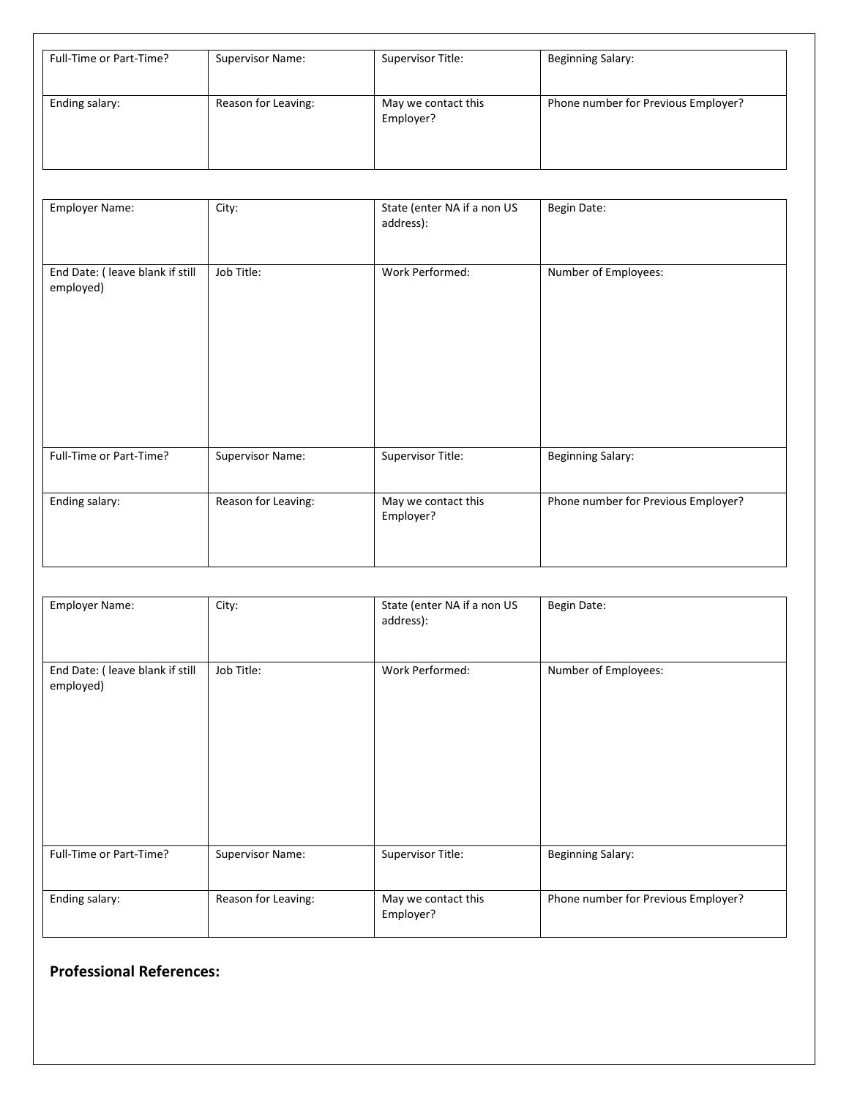| Full-Time or Part-Time? | <b>Supervisor Name:</b> | Supervisor Title:                | <b>Beginning Salary:</b>            |
|-------------------------|-------------------------|----------------------------------|-------------------------------------|
| Ending salary:          | Reason for Leaving:     | May we contact this<br>Employer? | Phone number for Previous Employer? |

| Employer Name:                                | City:               | State (enter NA if a non US<br>address): | Begin Date:                         |
|-----------------------------------------------|---------------------|------------------------------------------|-------------------------------------|
| End Date: ( leave blank if still<br>employed) | Job Title:          | Work Performed:                          | Number of Employees:                |
| Full-Time or Part-Time?                       | Supervisor Name:    | Supervisor Title:                        | <b>Beginning Salary:</b>            |
| Ending salary:                                | Reason for Leaving: | May we contact this<br>Employer?         | Phone number for Previous Employer? |

| Employer Name:                                | City:               | State (enter NA if a non US<br>address): | Begin Date:                         |
|-----------------------------------------------|---------------------|------------------------------------------|-------------------------------------|
| End Date: ( leave blank if still<br>employed) | Job Title:          | Work Performed:                          | Number of Employees:                |
| Full-Time or Part-Time?                       | Supervisor Name:    | Supervisor Title:                        | <b>Beginning Salary:</b>            |
| Ending salary:                                | Reason for Leaving: | May we contact this<br>Employer?         | Phone number for Previous Employer? |

# **Professional References:**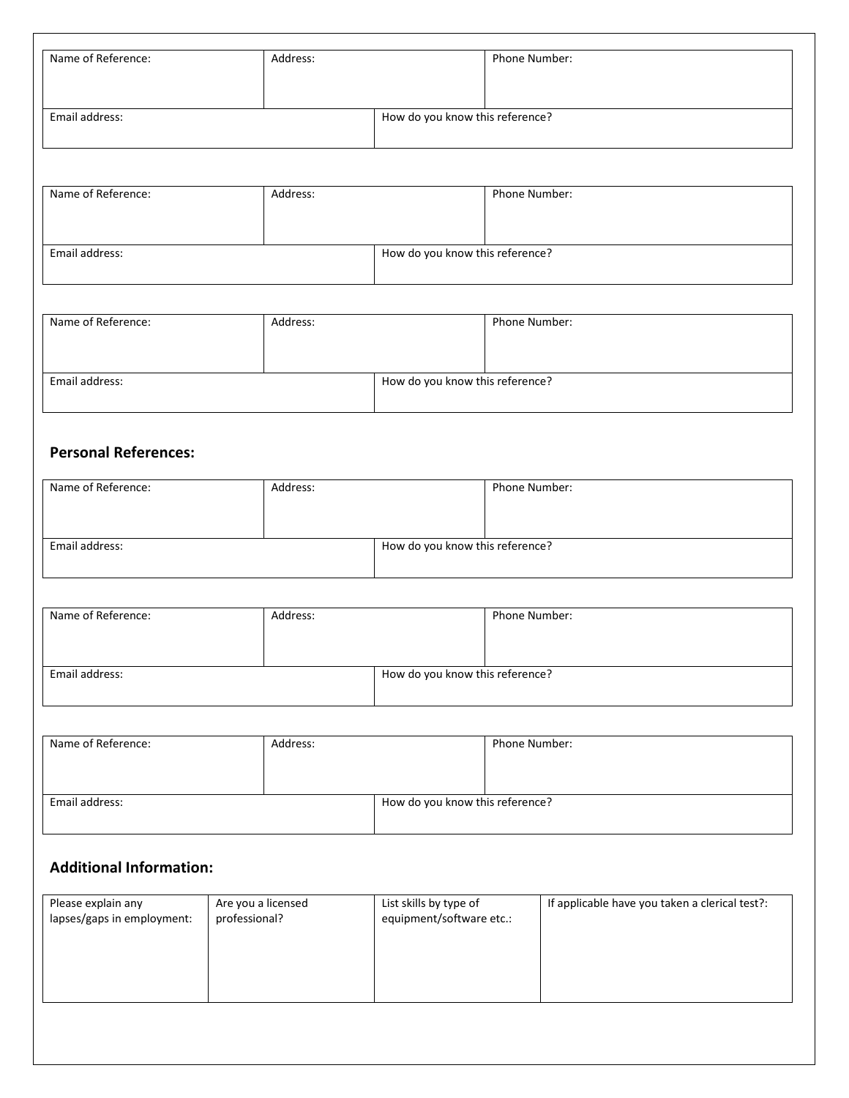| Name of Reference:          | Address: |                                 | Phone Number:                   |  |
|-----------------------------|----------|---------------------------------|---------------------------------|--|
| Email address:              |          | How do you know this reference? |                                 |  |
| Name of Reference:          | Address: |                                 | Phone Number:                   |  |
|                             |          |                                 |                                 |  |
| Email address:              |          | How do you know this reference? |                                 |  |
|                             |          |                                 |                                 |  |
| Name of Reference:          | Address: |                                 | Phone Number:                   |  |
| Email address:              |          |                                 | How do you know this reference? |  |
|                             |          |                                 |                                 |  |
| <b>Personal References:</b> |          |                                 |                                 |  |
| Name of Reference:          | Address: |                                 | Phone Number:                   |  |
| Email address:              |          |                                 | How do you know this reference? |  |
|                             |          |                                 |                                 |  |

| Name of Reference: | Address: |                                 | Phone Number: |  |
|--------------------|----------|---------------------------------|---------------|--|
|                    |          |                                 |               |  |
|                    |          |                                 |               |  |
| Email address:     |          | How do you know this reference? |               |  |
|                    |          |                                 |               |  |

| Name of Reference: | Address: |                                 | Phone Number: |
|--------------------|----------|---------------------------------|---------------|
| Email address:     |          | How do you know this reference? |               |

## **Additional Information:**

| Please explain any         | Are you a licensed | List skills by type of   | If applicable have you taken a clerical test?: |
|----------------------------|--------------------|--------------------------|------------------------------------------------|
| lapses/gaps in employment: | professional?      | equipment/software etc.: |                                                |
|                            |                    |                          |                                                |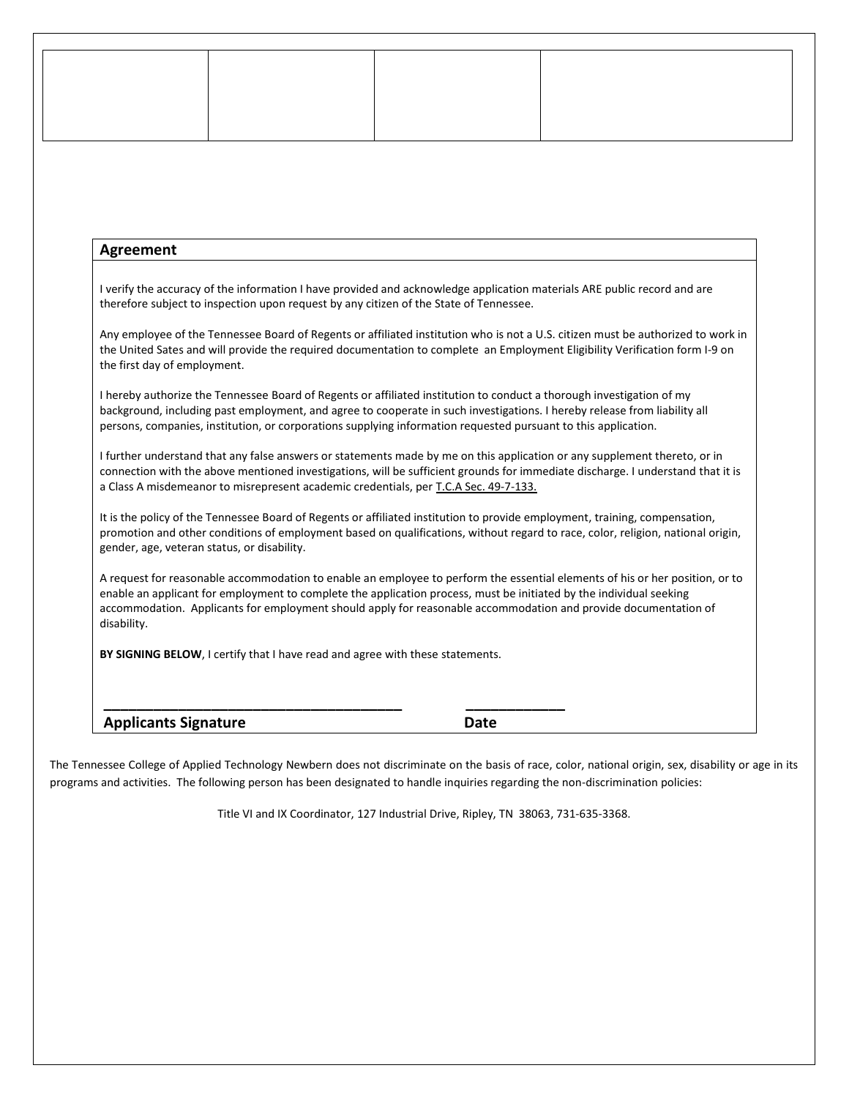### **Agreement**

I verify the accuracy of the information I have provided and acknowledge application materials ARE public record and are therefore subject to inspection upon request by any citizen of the State of Tennessee.

Any employee of the Tennessee Board of Regents or affiliated institution who is not a U.S. citizen must be authorized to work in the United Sates and will provide the required documentation to complete an Employment Eligibility Verification form I-9 on the first day of employment.

I hereby authorize the Tennessee Board of Regents or affiliated institution to conduct a thorough investigation of my background, including past employment, and agree to cooperate in such investigations. I hereby release from liability all persons, companies, institution, or corporations supplying information requested pursuant to this application.

I further understand that any false answers or statements made by me on this application or any supplement thereto, or in connection with the above mentioned investigations, will be sufficient grounds for immediate discharge. I understand that it is a Class A misdemeanor to misrepresent academic credentials, per T.C.A Sec. 49-7-133.

It is the policy of the Tennessee Board of Regents or affiliated institution to provide employment, training, compensation, promotion and other conditions of employment based on qualifications, without regard to race, color, religion, national origin, gender, age, veteran status, or disability.

A request for reasonable accommodation to enable an employee to perform the essential elements of his or her position, or to enable an applicant for employment to complete the application process, must be initiated by the individual seeking accommodation. Applicants for employment should apply for reasonable accommodation and provide documentation of disability.

**BY SIGNING BELOW**, I certify that I have read and agree with these statements.

**\_\_\_\_\_\_\_\_\_\_\_\_\_\_\_\_\_\_\_\_\_\_\_\_\_\_\_\_\_\_\_\_\_\_\_\_ \_\_\_\_\_\_\_\_\_\_\_\_** 

#### Applicants Signature **Date Date**

The Tennessee College of Applied Technology Newbern does not discriminate on the basis of race, color, national origin, sex, disability or age in its programs and activities. The following person has been designated to handle inquiries regarding the non-discrimination policies:

Title VI and IX Coordinator, 127 Industrial Drive, Ripley, TN 38063, 731-635-3368.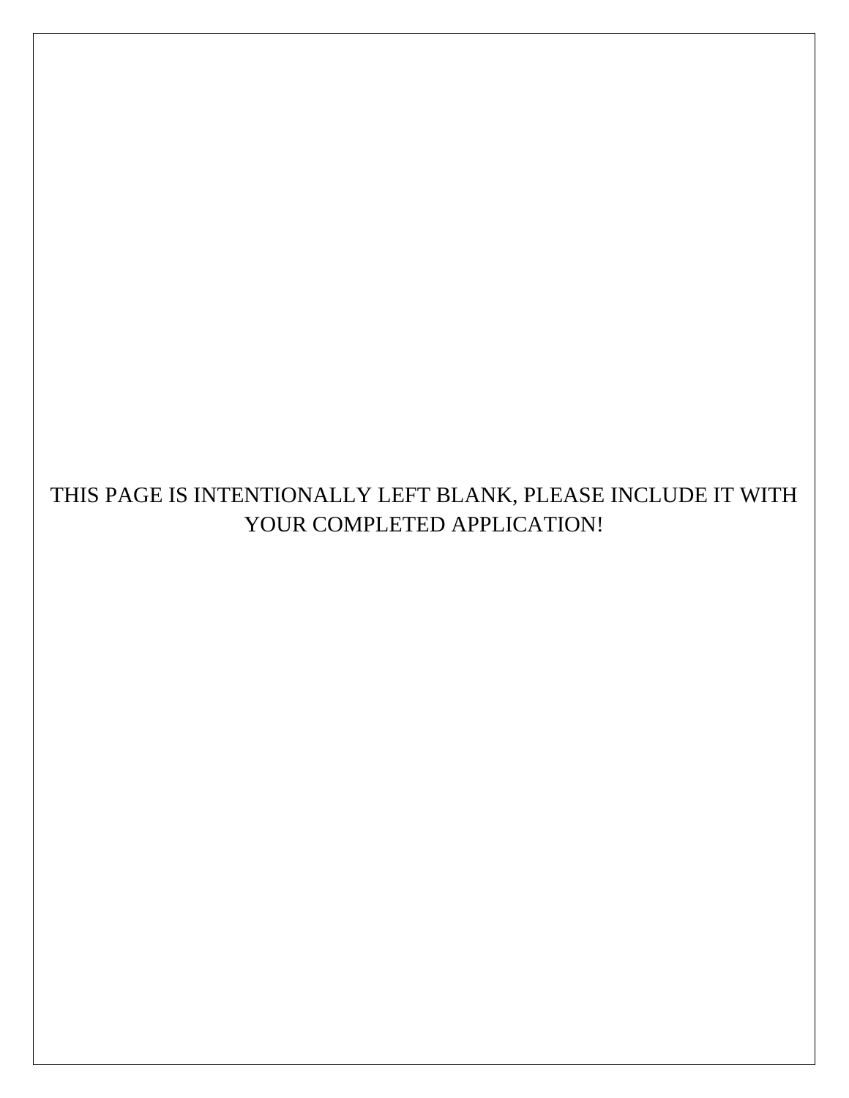# THIS PAGE IS INTENTIONALLY LEFT BLANK, PLEASE INCLUDE IT WITH YOUR COMPLETED APPLICATION!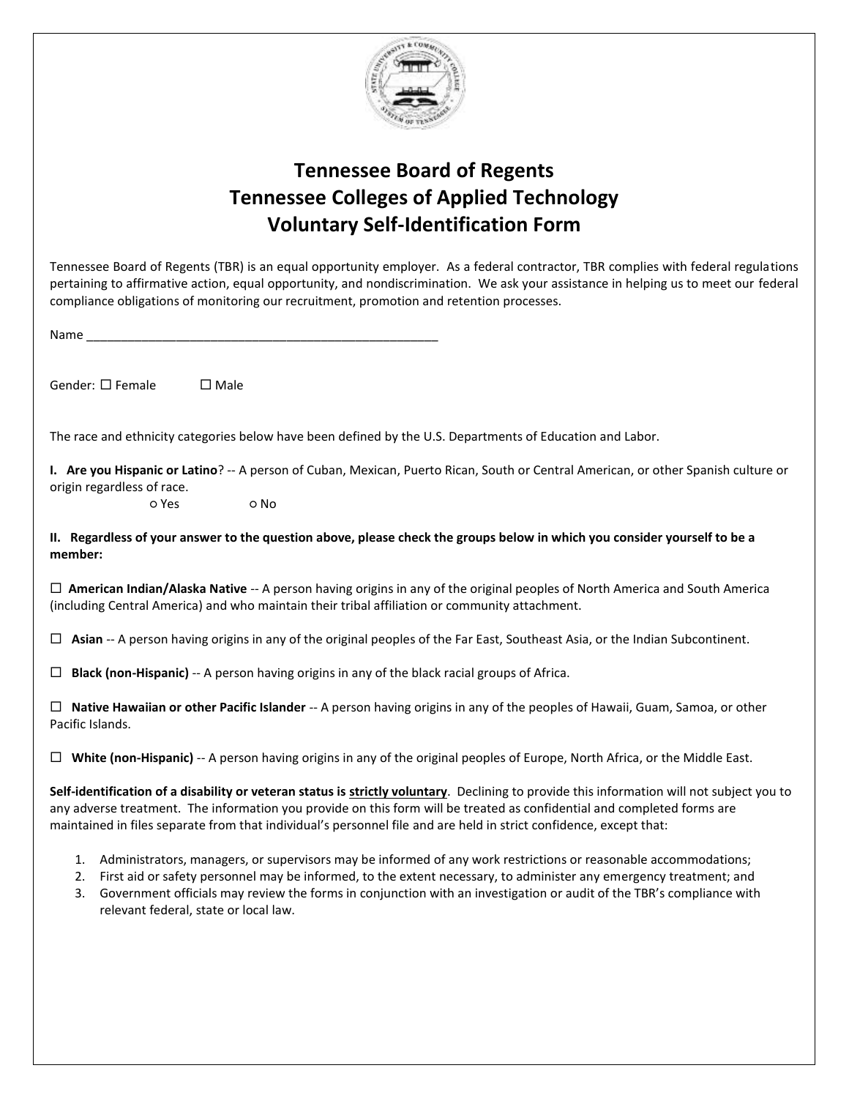

# **Tennessee Board of Regents Tennessee Colleges of Applied Technology Voluntary Self-Identification Form**

| Tennessee Board of Regents (TBR) is an equal opportunity employer. As a federal contractor, TBR complies with federal regulations<br>pertaining to affirmative action, equal opportunity, and nondiscrimination. We ask your assistance in helping us to meet our federal<br>compliance obligations of monitoring our recruitment, promotion and retention processes.                                                 |  |  |  |  |
|-----------------------------------------------------------------------------------------------------------------------------------------------------------------------------------------------------------------------------------------------------------------------------------------------------------------------------------------------------------------------------------------------------------------------|--|--|--|--|
| Name and the state of the state of the state of the state of the state of the state of the state of the state of the state of the state of the state of the state of the state of the state of the state of the state of the s                                                                                                                                                                                        |  |  |  |  |
|                                                                                                                                                                                                                                                                                                                                                                                                                       |  |  |  |  |
| Gender: $\square$ Female<br>$\square$ Male                                                                                                                                                                                                                                                                                                                                                                            |  |  |  |  |
| The race and ethnicity categories below have been defined by the U.S. Departments of Education and Labor.                                                                                                                                                                                                                                                                                                             |  |  |  |  |
| I. Are you Hispanic or Latino? -- A person of Cuban, Mexican, Puerto Rican, South or Central American, or other Spanish culture or<br>origin regardless of race.                                                                                                                                                                                                                                                      |  |  |  |  |
| o Yes<br>o No                                                                                                                                                                                                                                                                                                                                                                                                         |  |  |  |  |
| II. Regardless of your answer to the question above, please check the groups below in which you consider yourself to be a<br>member:                                                                                                                                                                                                                                                                                  |  |  |  |  |
| $\Box$ American Indian/Alaska Native -- A person having origins in any of the original peoples of North America and South America<br>(including Central America) and who maintain their tribal affiliation or community attachment.                                                                                                                                                                                   |  |  |  |  |
| $\Box$ Asian -- A person having origins in any of the original peoples of the Far East, Southeast Asia, or the Indian Subcontinent.                                                                                                                                                                                                                                                                                   |  |  |  |  |
| Black (non-Hispanic) -- A person having origins in any of the black racial groups of Africa.<br>$\Box$                                                                                                                                                                                                                                                                                                                |  |  |  |  |
| $\Box$ Native Hawaiian or other Pacific Islander -- A person having origins in any of the peoples of Hawaii, Guam, Samoa, or other<br>Pacific Islands.                                                                                                                                                                                                                                                                |  |  |  |  |
| $\Box$ White (non-Hispanic) -- A person having origins in any of the original peoples of Europe, North Africa, or the Middle East.                                                                                                                                                                                                                                                                                    |  |  |  |  |
| Self-identification of a disability or veteran status is strictly voluntary. Declining to provide this information will not subject you to<br>any adverse treatment. The information you provide on this form will be treated as confidential and completed forms are<br>maintained in files separate from that individual's personnel file and are held in strict confidence, except that:                           |  |  |  |  |
| Administrators, managers, or supervisors may be informed of any work restrictions or reasonable accommodations;<br>1.<br>2. First aid or safety personnel may be informed, to the extent necessary, to administer any emergency treatment; and<br>Government officials may review the forms in conjunction with an investigation or audit of the TBR's compliance with<br>3.<br>relevant federal, state or local law. |  |  |  |  |
|                                                                                                                                                                                                                                                                                                                                                                                                                       |  |  |  |  |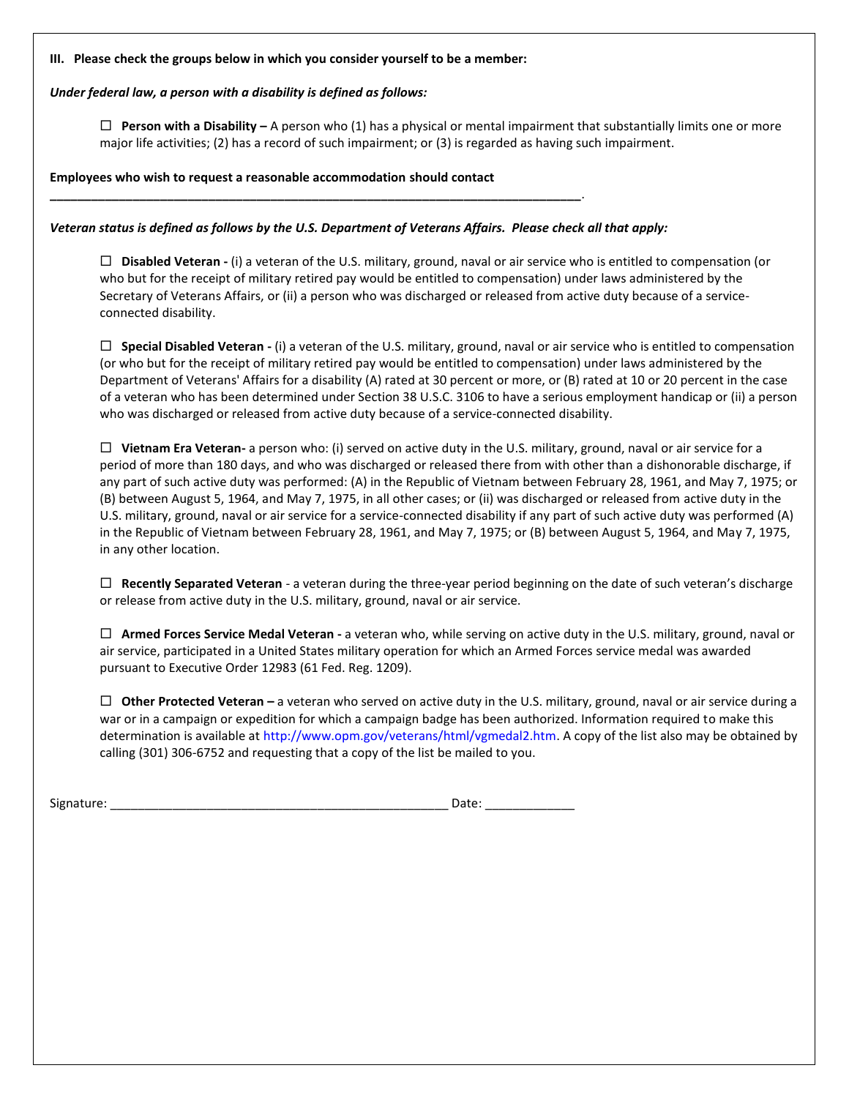#### **III. Please check the groups below in which you consider yourself to be a member:**

#### *Under federal law, a person with a disability is defined as follows:*

 **Person with a Disability –** A person who (1) has a physical or mental impairment that substantially limits one or more major life activities; (2) has a record of such impairment; or (3) is regarded as having such impairment.

**Employees who wish to request a reasonable accommodation should contact** 

**\_\_\_\_\_\_\_\_\_\_\_\_\_\_\_\_\_\_\_\_\_\_\_\_\_\_\_\_\_\_\_\_\_\_\_\_\_\_\_\_\_\_\_\_\_\_\_\_\_\_\_\_\_\_\_\_\_\_\_\_\_\_\_\_\_\_\_\_\_\_\_\_\_\_\_\_\_**.

*Veteran status is defined as follows by the U.S. Department of Veterans Affairs. Please check all that apply:*

 **Disabled Veteran -** (i) a veteran of the U.S. military, ground, naval or air service who is entitled to compensation (or who but for the receipt of military retired pay would be entitled to compensation) under laws administered by the Secretary of Veterans Affairs, or (ii) a person who was discharged or released from active duty because of a serviceconnected disability.

 **Special Disabled Veteran -** (i) a veteran of the U.S. military, ground, naval or air service who is entitled to compensation (or who but for the receipt of military retired pay would be entitled to compensation) under laws administered by the Department of Veterans' Affairs for a disability (A) rated at 30 percent or more, or (B) rated at 10 or 20 percent in the case of a veteran who has been determined under Section 38 U.S.C. 3106 to have a serious employment handicap or (ii) a person who was discharged or released from active duty because of a service-connected disability.

 **Vietnam Era Veteran-** a person who: (i) served on active duty in the U.S. military, ground, naval or air service for a period of more than 180 days, and who was discharged or released there from with other than a dishonorable discharge, if any part of such active duty was performed: (A) in the Republic of Vietnam between February 28, 1961, and May 7, 1975; or (B) between August 5, 1964, and May 7, 1975, in all other cases; or (ii) was discharged or released from active duty in the U.S. military, ground, naval or air service for a service-connected disability if any part of such active duty was performed (A) in the Republic of Vietnam between February 28, 1961, and May 7, 1975; or (B) between August 5, 1964, and May 7, 1975, in any other location.

 **Recently Separated Veteran** - a veteran during the three-year period beginning on the date of such veteran's discharge or release from active duty in the U.S. military, ground, naval or air service.

 **Armed Forces Service Medal Veteran -** a veteran who, while serving on active duty in the U.S. military, ground, naval or air service, participated in a United States military operation for which an Armed Forces service medal was awarded pursuant to Executive Order 12983 (61 Fed. Reg. 1209).

 **Other Protected Veteran –** a veteran who served on active duty in the U.S. military, ground, naval or air service during a war or in a campaign or expedition for which a campaign badge has been authorized. Information required to make this determination is available at http://www.opm.gov/veterans/html/vgmedal2.htm. A copy of the list also may be obtained by calling (301) 306-6752 and requesting that a copy of the list be mailed to you.

| Signature: | ''dlu |
|------------|-------|
|------------|-------|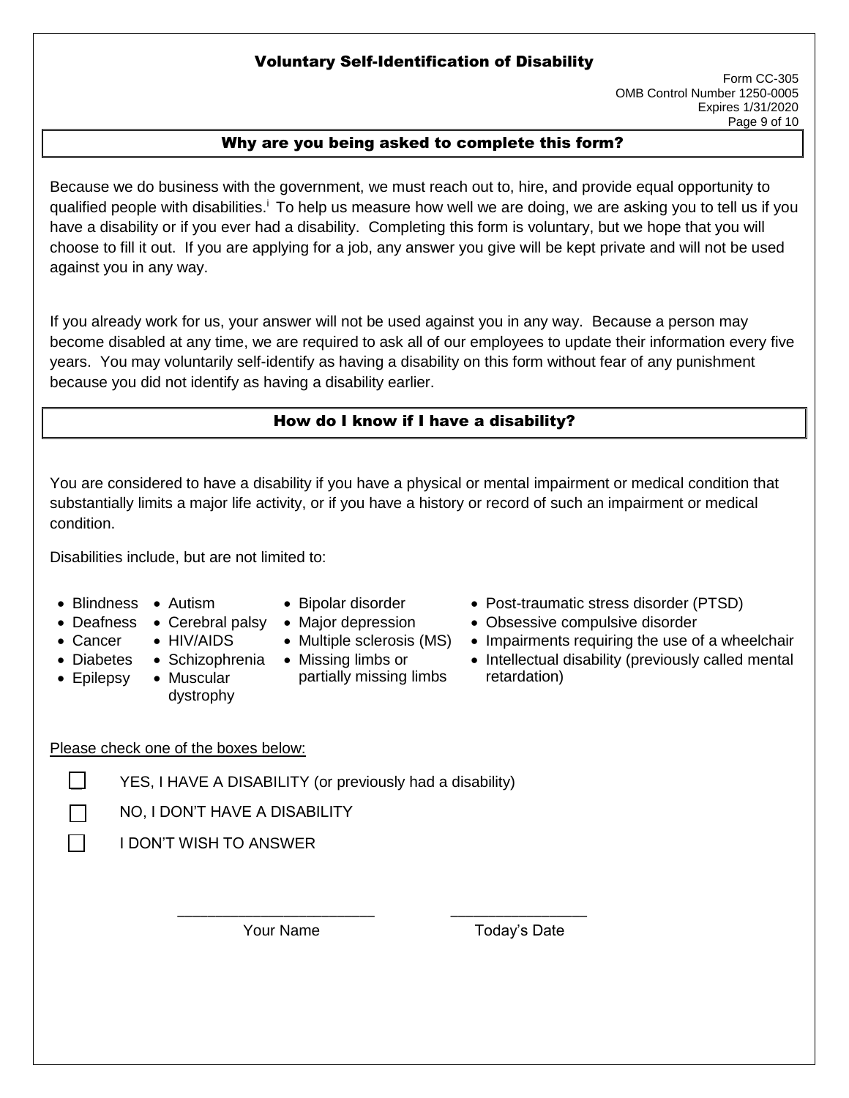## Voluntary Self-Identification of Disability

### Why are you being asked to complete this form?

Because we do business with the government, we must reach out to, hire, and provide equal opportunity to qualified people with disabilities.<sup>i</sup> To help us measure how well we are doing, we are asking you to tell us if you have a disability or if you ever had a disability. Completing this form is voluntary, but we hope that you will choose to fill it out. If you are applying for a job, any answer you give will be kept private and will not be used against you in any way.

If you already work for us, your answer will not be used against you in any way. Because a person may become disabled at any time, we are required to ask all of our employees to update their information every five years. You may voluntarily self-identify as having a disability on this form without fear of any punishment because you did not identify as having a disability earlier.

## How do I know if I have a disability?

You are considered to have a disability if you have a physical or mental impairment or medical condition that substantially limits a major life activity, or if you have a history or record of such an impairment or medical condition.

Disabilities include, but are not limited to:

- 
- - -
- Diabetes Schizophrenia Missing limbs or • Epilepsy
	- Muscular dystrophy
- 
- 
- 

\_\_\_\_\_\_\_\_\_\_\_\_\_\_\_\_\_\_\_\_\_\_\_\_\_\_ \_\_\_\_\_\_\_\_\_\_\_\_\_\_\_\_\_\_

- partially missing limbs
- Blindness Autism Bipolar disorder Post-traumatic stress disorder (PTSD)
- Deafness Cerebral palsy Major depression Obsessive compulsive disorder
- Cancer HIV/AIDS Multiple sclerosis (MS) Impairments requiring the use of a wheelchair
	- Intellectual disability (previously called mental retardation)

### Please check one of the boxes below:

 $\Box$  YES, I HAVE A DISABILITY (or previously had a disability)

☐ NO, I DON'T HAVE A DISABILITY

☐ I DON'T WISH TO ANSWER

Your Name Today's Date